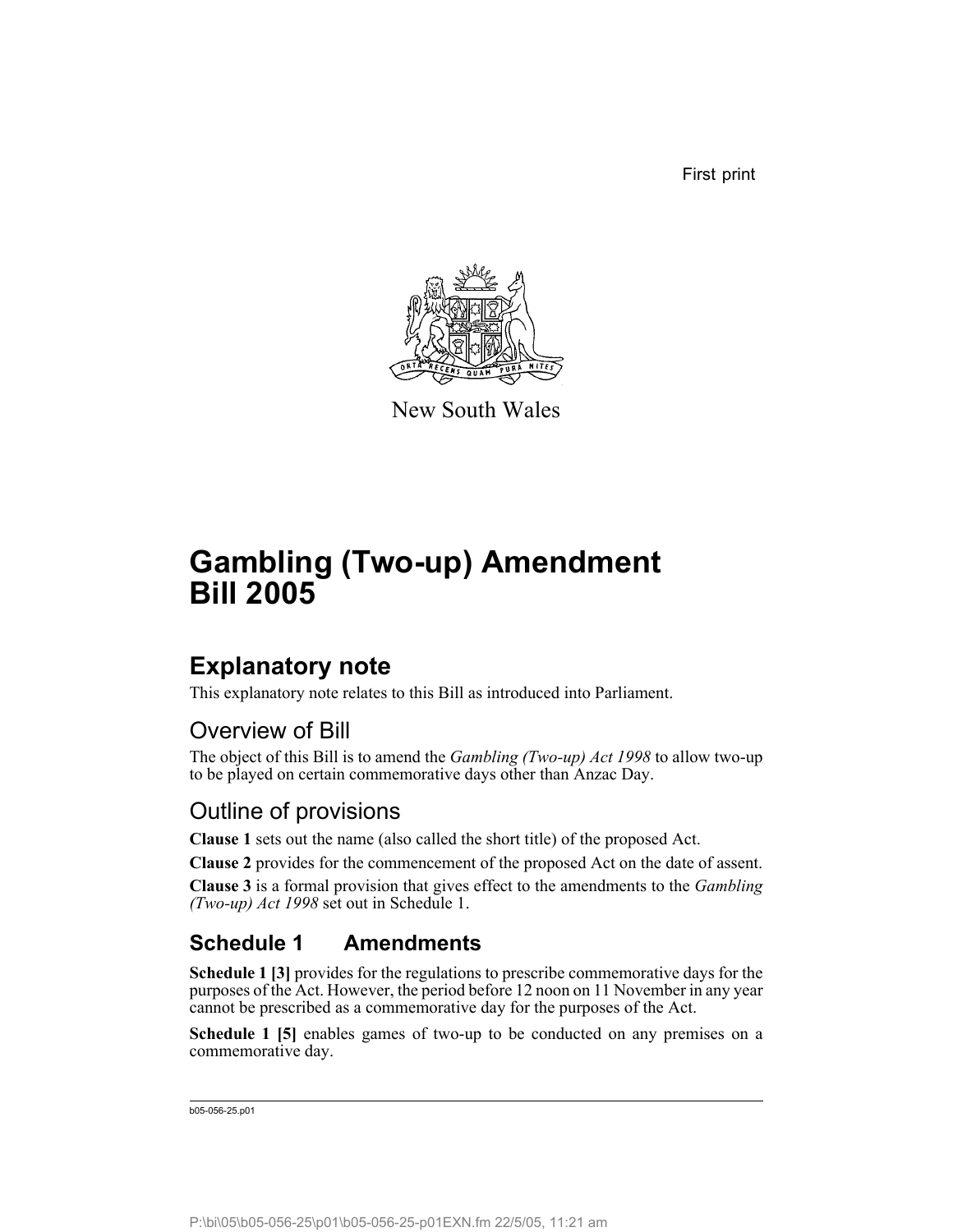First print



New South Wales

# **Gambling (Two-up) Amendment Bill 2005**

## **Explanatory note**

This explanatory note relates to this Bill as introduced into Parliament.

### Overview of Bill

The object of this Bill is to amend the *Gambling (Two-up) Act 1998* to allow two-up to be played on certain commemorative days other than Anzac Day.

### Outline of provisions

**Clause 1** sets out the name (also called the short title) of the proposed Act.

**Clause 2** provides for the commencement of the proposed Act on the date of assent.

**Clause 3** is a formal provision that gives effect to the amendments to the *Gambling (Two-up) Act 1998* set out in Schedule 1.

### **Schedule 1 Amendments**

**Schedule 1 [3]** provides for the regulations to prescribe commemorative days for the purposes of the Act. However, the period before 12 noon on 11 November in any year cannot be prescribed as a commemorative day for the purposes of the Act.

**Schedule 1 [5]** enables games of two-up to be conducted on any premises on a commemorative day.

b05-056-25.p01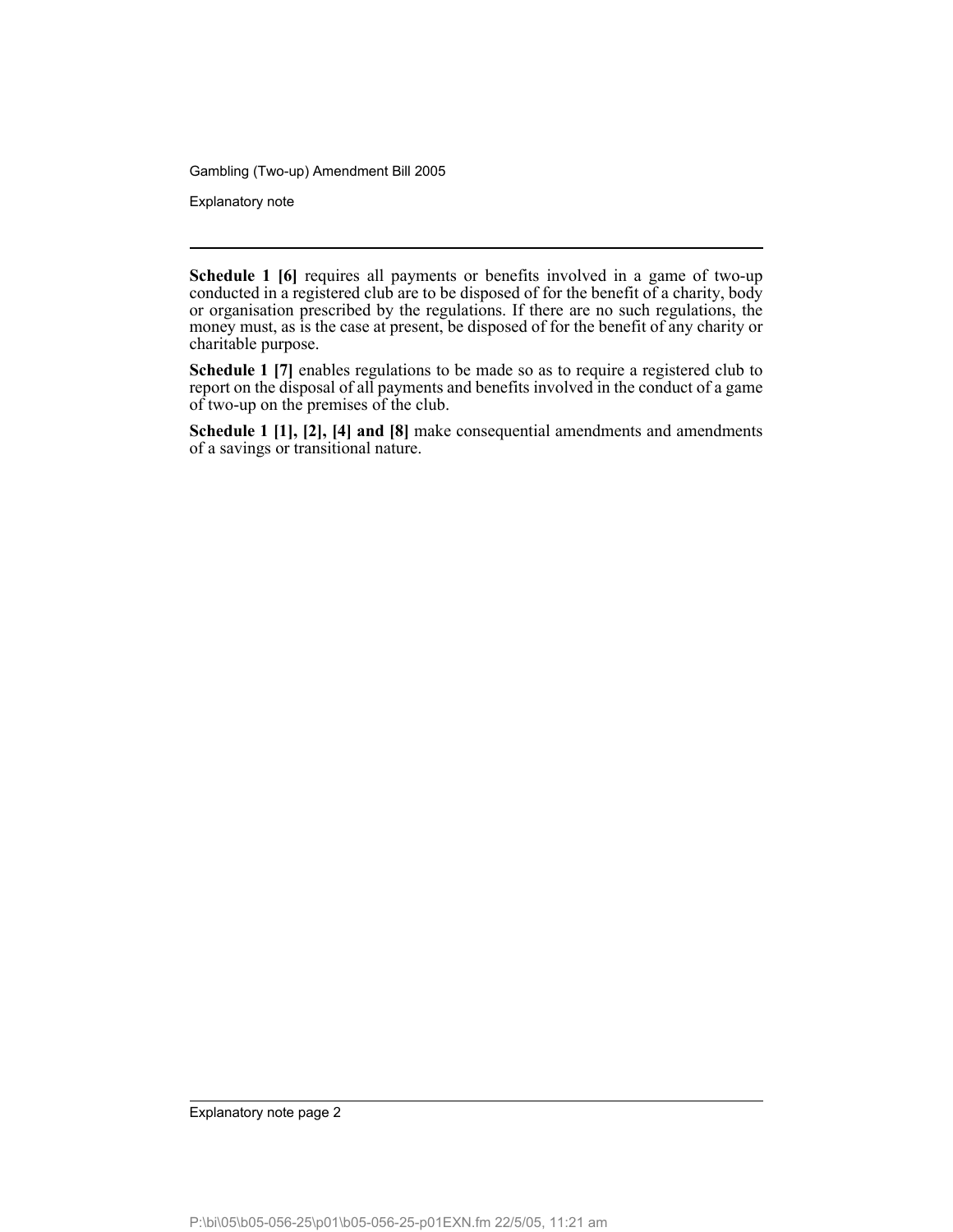Gambling (Two-up) Amendment Bill 2005

Explanatory note

**Schedule 1 [6]** requires all payments or benefits involved in a game of two-up conducted in a registered club are to be disposed of for the benefit of a charity, body or organisation prescribed by the regulations. If there are no such regulations, the money must, as is the case at present, be disposed of for the benefit of any charity or charitable purpose.

**Schedule 1 [7]** enables regulations to be made so as to require a registered club to report on the disposal of all payments and benefits involved in the conduct of a game of two-up on the premises of the club.

**Schedule 1 [1], [2], [4] and [8]** make consequential amendments and amendments of a savings or transitional nature.

Explanatory note page 2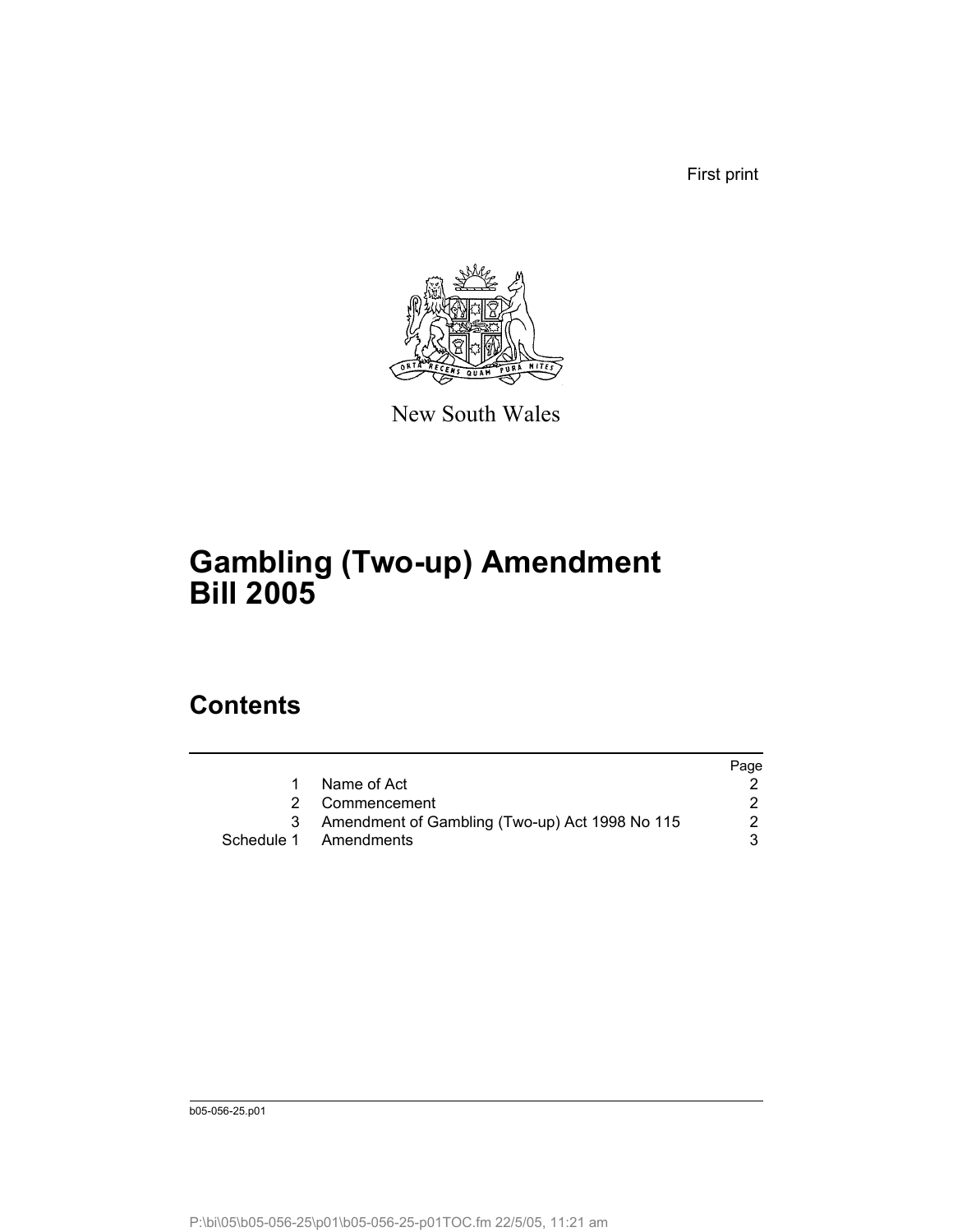First print



New South Wales

## **Gambling (Two-up) Amendment Bill 2005**

## **Contents**

|                                                | Page |
|------------------------------------------------|------|
| Name of Act                                    |      |
| 2 Commencement                                 |      |
| Amendment of Gambling (Two-up) Act 1998 No 115 |      |
| Schedule 1 Amendments                          |      |
|                                                |      |

b05-056-25.p01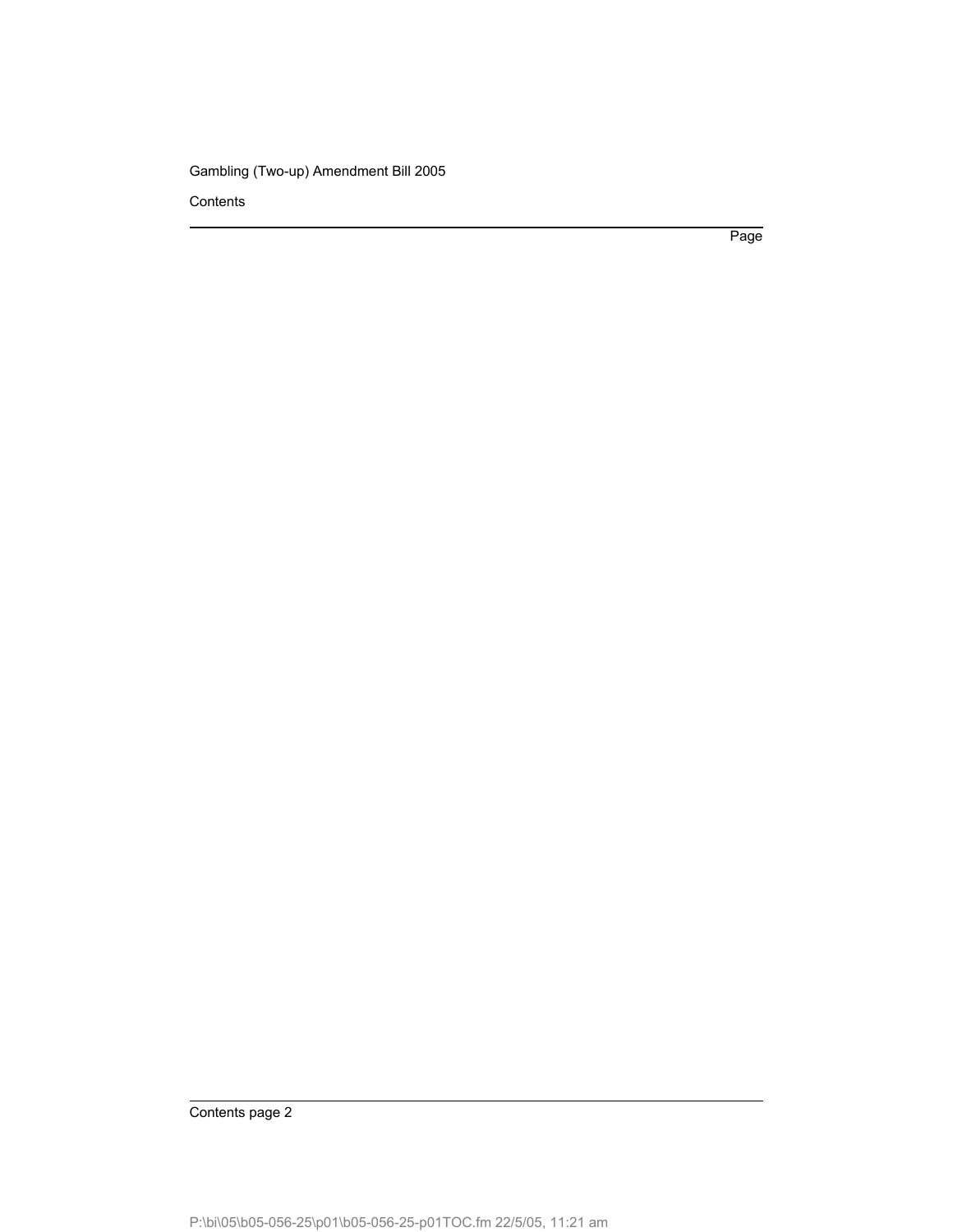Gambling (Two-up) Amendment Bill 2005

**Contents** 

Page

Contents page 2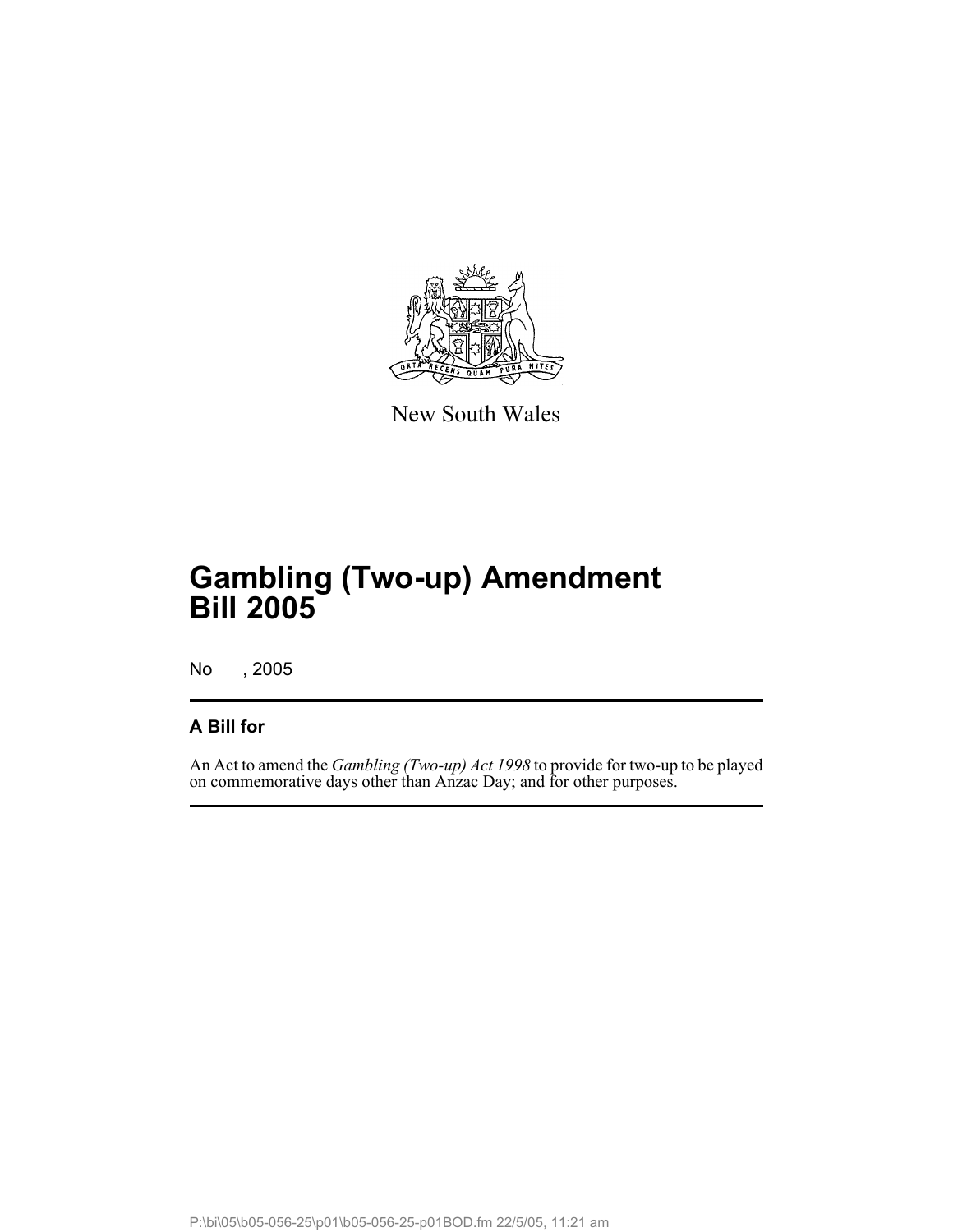

New South Wales

# **Gambling (Two-up) Amendment Bill 2005**

No , 2005

#### **A Bill for**

An Act to amend the *Gambling (Two-up) Act 1998* to provide for two-up to be played on commemorative days other than Anzac Day; and for other purposes.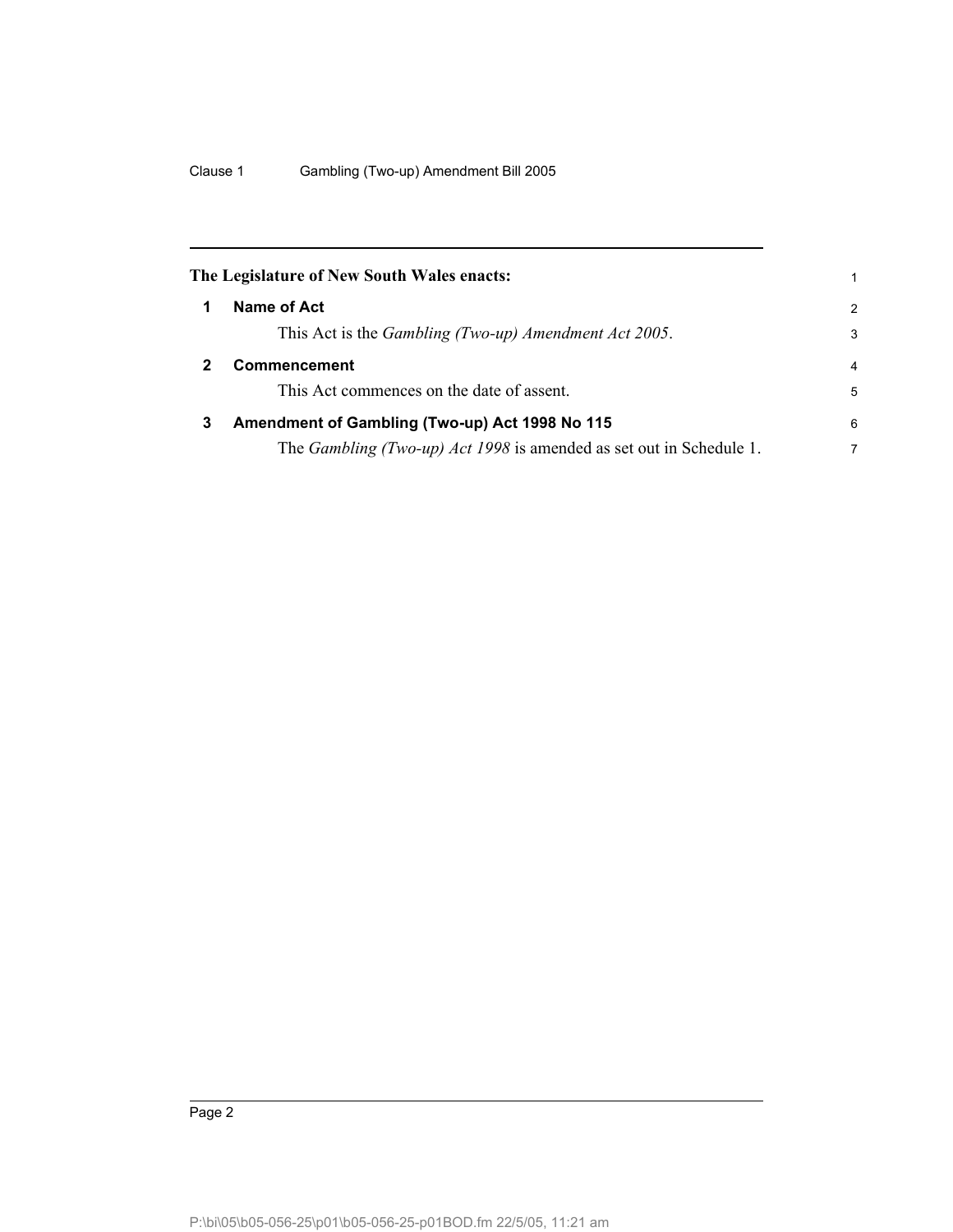<span id="page-5-1"></span><span id="page-5-0"></span>

| The Legislature of New South Wales enacts: |                                                                            | 1 |
|--------------------------------------------|----------------------------------------------------------------------------|---|
|                                            | Name of Act                                                                | 2 |
|                                            | This Act is the <i>Gambling (Two-up) Amendment Act 2005</i> .              | 3 |
|                                            | <b>Commencement</b>                                                        | 4 |
|                                            | This Act commences on the date of assent.                                  | 5 |
| 3                                          | Amendment of Gambling (Two-up) Act 1998 No 115                             | 6 |
|                                            | The <i>Gambling (Two-up) Act 1998</i> is amended as set out in Schedule 1. | 7 |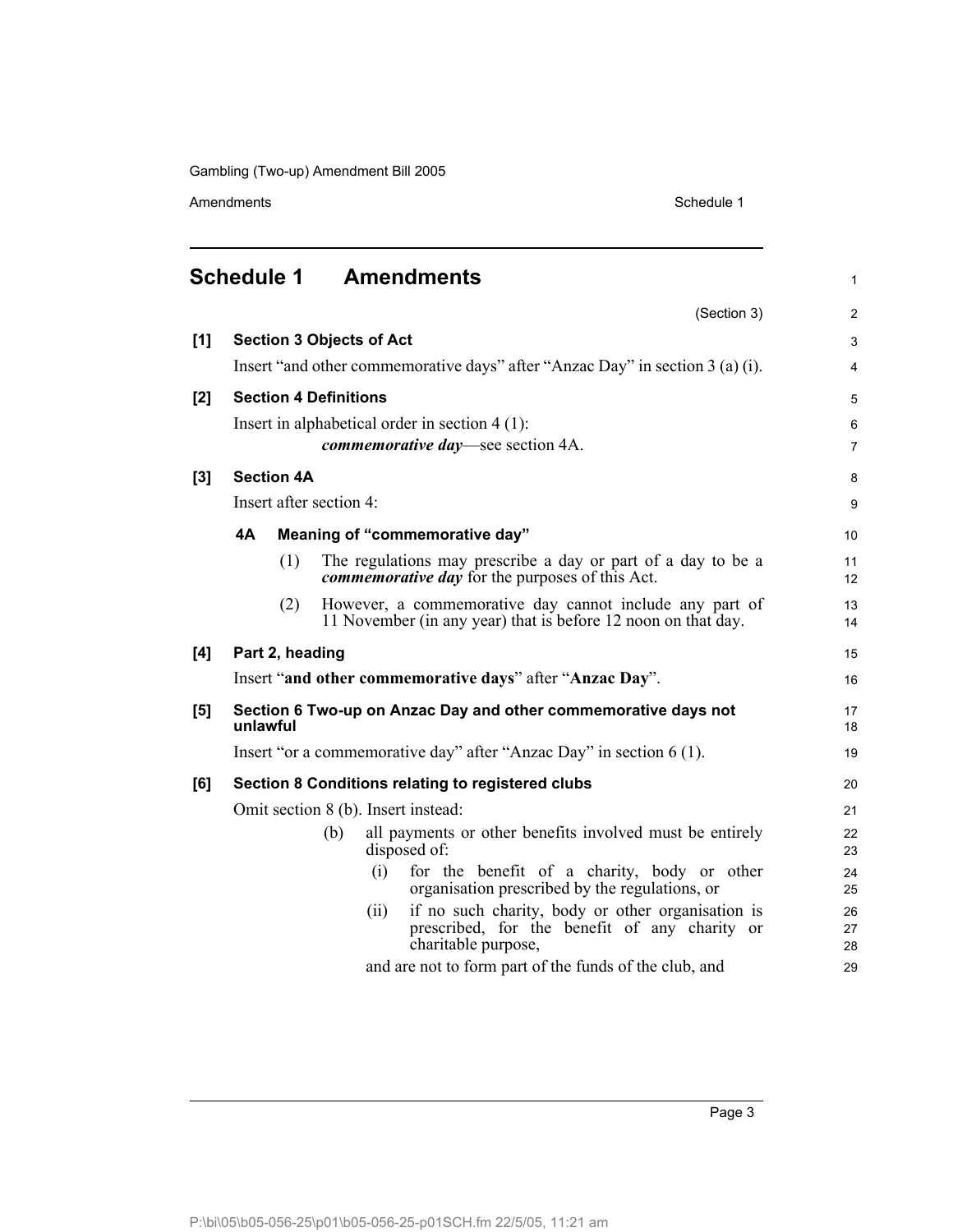Gambling (Two-up) Amendment Bill 2005

Amendments Schedule 1

<span id="page-6-0"></span>

|       | <b>Schedule 1</b>            | <b>Amendments</b>                                                                                                                 | 1              |
|-------|------------------------------|-----------------------------------------------------------------------------------------------------------------------------------|----------------|
|       |                              | (Section 3)                                                                                                                       | 2              |
| [1]   |                              | <b>Section 3 Objects of Act</b>                                                                                                   | 3              |
|       |                              | Insert "and other commemorative days" after "Anzac Day" in section 3 (a) (i).                                                     | 4              |
| [2]   | <b>Section 4 Definitions</b> |                                                                                                                                   | 5              |
|       |                              | Insert in alphabetical order in section $4(1)$ :                                                                                  | 6              |
|       |                              | <i>commemorative day</i> —see section 4A.                                                                                         | $\overline{7}$ |
| $[3]$ | <b>Section 4A</b>            |                                                                                                                                   | 8              |
|       | Insert after section 4:      |                                                                                                                                   | 9              |
|       | 4A                           | Meaning of "commemorative day"                                                                                                    | 10             |
|       | (1)                          | The regulations may prescribe a day or part of a day to be a<br><i>commemorative day</i> for the purposes of this Act.            | 11<br>12       |
|       | (2)                          | However, a commemorative day cannot include any part of<br>11 November (in any year) that is before 12 noon on that day.          | 13<br>14       |
| [4]   | Part 2, heading              |                                                                                                                                   | 15             |
|       |                              | Insert "and other commemorative days" after "Anzac Day".                                                                          | 16             |
| [5]   | unlawful                     | Section 6 Two-up on Anzac Day and other commemorative days not                                                                    | 17<br>18       |
|       |                              | Insert "or a commemorative day" after "Anzac Day" in section 6 (1).                                                               | 19             |
| [6]   |                              | Section 8 Conditions relating to registered clubs                                                                                 | 20             |
|       |                              | Omit section 8 (b). Insert instead:                                                                                               | 21             |
|       |                              | all payments or other benefits involved must be entirely<br>(b)<br>disposed of:                                                   | 22<br>23       |
|       |                              | for the benefit of a charity, body or other<br>(i)<br>organisation prescribed by the regulations, or                              | 24<br>25       |
|       |                              | if no such charity, body or other organisation is<br>(ii)<br>prescribed, for the benefit of any charity or<br>charitable purpose, | 26<br>27<br>28 |
|       |                              | and are not to form part of the funds of the club, and                                                                            | 29             |